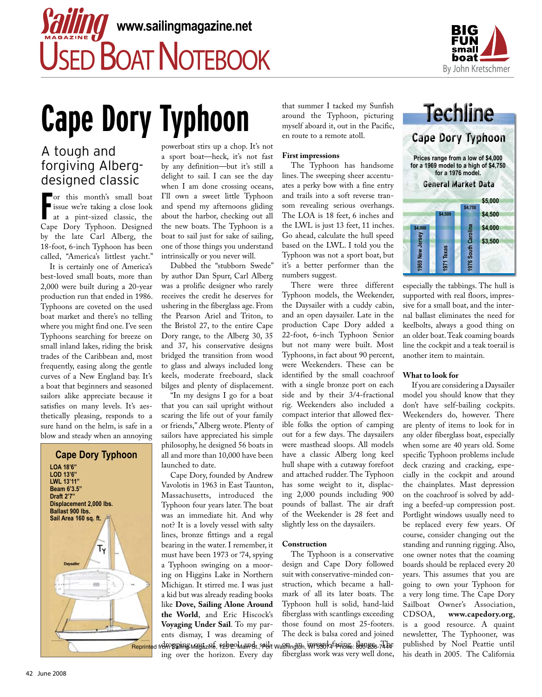

# **Cape Dory Typhoon**

# A tough and forgiving Albergdesigned classic

For this month's small boat<br>
issue we're taking a close look<br>
at a pint-sized classic, the or this month's small boat issue we're taking a close look Cape Dory Typhoon. Designed by the late Carl Alberg, the 18-foot, 6-inch Typhoon has been called, "America's littlest yacht."

 It is certainly one of America's best-loved small boats, more than 2,000 were built during a 20-year production run that ended in 1986. Typhoons are coveted on the used boat market and there's no telling where you might find one. I've seen Typhoons searching for breeze on small inland lakes, riding the brisk trades of the Caribbean and, most frequently, easing along the gentle curves of a New England bay. It's a boat that beginners and seasoned sailors alike appreciate because it satisfies on many levels. It's aesthetically pleasing, responds to a sure hand on the helm, is safe in a blow and steady when an annoying



powerboat stirs up a chop. It's not a sport boat—heck, it's not fast by any definition —but it's still a delight to sail. I can see the day when I am done crossing oceans, I'll own a sweet little Typhoon and spend my afternoons gliding about the harbor, checking out all the new boats. The Typhoon is a boat to sail just for sake of sailing, one of those things you understand intrinsically or you never will.

 Dubbed the "stubborn Swede" by author Dan Spurr, Carl Alberg was a prolific designer who rarely receives the credit he deserves for ushering in the fiberglass age. From the Pearson Ariel and Triton, to the Bristol 27, to the entire Cape Dory range, to the Alberg 30, 35 and 37, his conservative designs bridged the transition from wood to glass and always included long keels, moderate freeboard, slack bilges and plenty of displacement.

 "In my designs I go for a boat that you can sail upright without scaring the life out of your family or friends," Alberg wrote. Plenty of sailors have appreciated his simple philosophy, he designed 56 boats in all and more than 10,000 have been launched to date.

 Cape Dory, founded by Andrew Vavolotis in 1963 in East Taunton, Massachusetts, introduced the Typhoon four years later. The boat was an immediate hit. And why not? It is a lovely vessel with salty lines, bronze fittings and a regal bearing in the water. I remember, it must have been 1973 or '74, spying a Typhoon swinging on a mooring on Higgins Lake in Northern Michigan. It stirred me. I was just a kid but was already reading books like **Dove, Sailing Alone Around the World**, and Eric Hiscock's **Voyaging Under Sail**. To my parents dismay, I was dreaming of Reprinted from Sailing Mayazine, 125 Boluandt, 90 yr Washington, WYS3074 Phone: 800-236-7444 ing over the horizon. Every day

that summer I tacked my Sunfish around the Typhoon, picturing myself aboard it, out in the Pacific, en route to a remote atoll.

### **First impressions**

 The Typhoon has handsome lines. The sweeping sheer accentuates a perky bow with a fine entry and trails into a soft reverse transom revealing serious overhangs. The LOA is 18 feet, 6 inches and the LWL is just 13 feet, 11 inches. Go ahead, calculate the hull speed based on the LWL. I told you the Typhoon was not a sport boat, but it's a better performer than the numbers suggest.

 There were three different Typhoon models, the Weekender, the Daysailer with a cuddy cabin, and an open daysailer. Late in the production Cape Dory added a 22-foot, 6-inch Typhoon Senior but not many were built. Most Typhoons, in fact about 90 percent, were Weekenders. These can be identified by the small coachroof with a single bronze port on each side and by their 3/4-fractional rig. Weekenders also included a compact interior that allowed flexible folks the option of camping out for a few days. The daysailers were masthead sloops. All models have a classic Alberg long keel hull shape with a cutaway forefoot and attached rudder. The Typhoon has some weight to it, displacing 2,000 pounds including 900 pounds of ballast. The air draft of the Weekender is 28 feet and slightly less on the daysailers.

# **Construction**

 The Typhoon is a conservative design and Cape Dory followed suit with conservative-minded construction, which became a hallmark of all its later boats. The Typhoon hull is solid, hand-laid fiberglass with scantlings exceeding those found on most 25-footers. The deck is balsa cored and joined fiberglass work was very well done,



especially the tabbings. The hull is supported with real floors, impressive for a small boat, and the internal ballast eliminates the need for keelbolts, always a good thing on an older boat. Teak coaming boards line the cockpit and a teak toerail is another item to maintain.

# **What to look for**

 If you are considering a Daysailer model you should know that they don't have self-bailing cockpits. Weekenders do, however. There are plenty of items to look for in any older fiberglass boat, especially when some are 40 years old. Some specific Typhoon problems include deck crazing and cracking, especially in the cockpit and around the chainplates. Mast depression on the coachroof is solved by adding a beefed-up compression post. Portlight windows usually need to be replaced every few years. Of course, consider changing out the standing and running rigging. Also, one owner notes that the coaming boards should be replaced every 20 years. This assumes that you are going to own your Typhoon for a very long time. The Cape Dory Sailboat Owner's Association,<br>CDSOA, www.capedory.org, www.capedory.org, is a good resource. A quaint newsletter, The Typhooner, was published by Noel Peattie until his death in 2005. The California